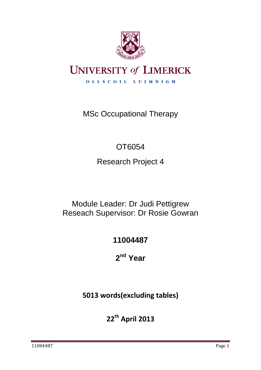

# **UNIVERSITY of LIMERICK**

OLLSCOIL LUIMNIGH

MSc Occupational Therapy

## OT6054

Research Project 4

## Module Leader: Dr Judi Pettigrew Reseach Supervisor: Dr Rosie Gowran

## **11004487**

**2 nd Year**

## **5013 words(excluding tables)**

**22th April 2013**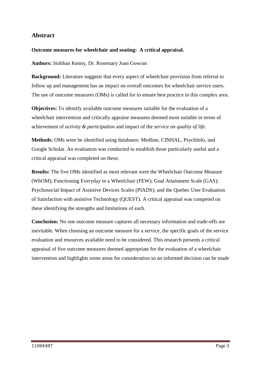## **Abstract**

#### **Outcome measures for wheelchair and seating: A critical appraisal.**

**Authors:** Siobhan Kenny, Dr. Rosemary Joan Gowran

**Background:** Literature suggests that every aspect of wheelchair provision from referral to follow up and management has an impact on overall outcomes for wheelchair service users. The use of outcome measures (OMs) is called for to ensure best practice in this complex area.

**Objectives:** To identify available outcome measures suitable for the evaluation of a wheelchair intervention and critically appraise measures deemed most suitable in terms of achievement of *activity & participation* and impact of the *service on quality of life*.

**Methods:** OMs were be identified using databases: Medline, CINHAL, PsychInfo, and Google Scholar. An evaluation was conducted to establish those particularly useful and a critical appraisal was completed on these.

**Results:** The five OMs identified as most relevant were the Wheelchair Outcome Measure (WhOM); Functioning Everyday in a Wheelchair (FEW); Goal Attainment Scale (GAS); Psychosocial Impact of Assistive Devices Scales (PIADS); and the Quebec User Evaluation of Satisfaction with assistive Technology (QUEST). A critical appraisal was competed on these identifying the strengths and limitations of each.

**Conclusion:** No one outcome measure captures all necessary information and trade-offs are inevitable. When choosing an outcome measure for a service, the specific goals of the service evaluation and resources available need to be considered. This research presents a critical appraisal of five outcome measures deemed appropriate for the evaluation of a wheelchair intervention and highlights some areas for consideration so an informed decision can be made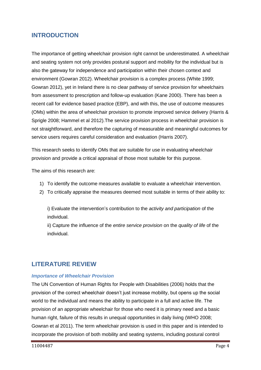## **INTRODUCTION**

The importance of getting wheelchair provision right cannot be underestimated. A wheelchair and seating system not only provides postural support and mobility for the individual but is also the gateway for independence and participation within their chosen context and environment (Gowran 2012). Wheelchair provision is a complex process (White 1999; Gowran 2012), yet in Ireland there is no clear pathway of service provision for wheelchairs from assessment to prescription and follow-up evaluation (Kane 2000). There has been a recent call for evidence based practice (EBP), and with this, the use of outcome measures (OMs) within the area of wheelchair provision to promote improved service delivery (Harris & Sprigle 2008; Hammel et al 2012).The service provision process in wheelchair provision is not straightforward, and therefore the capturing of measurable and meaningful outcomes for service users requires careful consideration and evaluation (Harris 2007).

This research seeks to identify OMs that are suitable for use in evaluating wheelchair provision and provide a critical appraisal of those most suitable for this purpose.

The aims of this research are:

- 1) To identify the outcome measures available to evaluate a wheelchair intervention.
- 2) To critically appraise the measures deemed most suitable in terms of their ability to:

i) Evaluate the intervention"s contribution to the *activity and participation* of the individual.

ii) Capture the influence of the *entire service provision* on the *quality of life* of the individual.

## **LITERATURE REVIEW**

### *Importance of Wheelchair Provision*

The UN Convention of Human Rights for People with Disabilities (2006) holds that the provision of the correct wheelchair doesn"t just increase mobility, but opens up the social world to the individual and means the ability to participate in a full and active life. The provision of an appropriate wheelchair for those who need it is primary need and a basic human right, failure of this results in unequal opportunities in daily living (WHO 2008; Gowran et al 2011). The term wheelchair provision is used in this paper and is intended to incorporate the provision of both mobility and seating systems, including postural control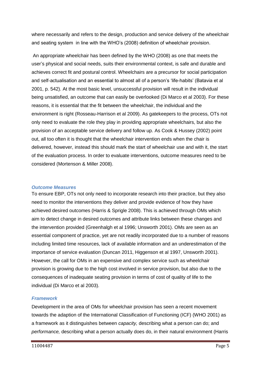where necessarily and refers to the design, production and service delivery of the wheelchair and seating system in line with the WHO"s (2008) definition of wheelchair provision.

An appropriate wheelchair has been defined by the WHO (2008) as one that meets the user"s physical and social needs, suits their environmental context, is safe and durable and achieves correct fit and postural control. Wheelchairs are a precursor for social participation and self-actualisation and an essential to almost all of a person"s "life-habits" (Batavia et al 2001, p. 542). At the most basic level, unsuccessful provision will result in the individual being unsatisfied, an outcome that can easily be overlooked (Di Marco et al 2003). For these reasons, it is essential that the fit between the wheelchair, the individual and the environment is right (Rosseau-Harrison et al 2009). As gatekeepers to the process, OTs not only need to evaluate the role they play in providing appropriate wheelchairs, but also the provision of an acceptable service delivery and follow up. As Cook & Hussey (2002) point out, all too often it is thought that the wheelchair intervention ends when the chair is delivered, however, instead this should mark the start of wheelchair use and with it, the start of the evaluation process. In order to evaluate interventions, outcome measures need to be considered (Mortenson & Miller 2008).

#### *Outcome Measures*

To ensure EBP, OTs not only need to incorporate research into their practice, but they also need to monitor the interventions they deliver and provide evidence of how they have achieved desired outcomes (Harris & Sprigle 2008). This is achieved through OMs which aim to detect change in desired outcomes and attribute links between these changes and the intervention provided (Greenhalgh et al 1996; Unsworth 2001). OMs are seen as an essential component of practice, yet are not readily incorporated due to a number of reasons including limited time resources, lack of available information and an underestimation of the importance of service evaluation (Duncan 2011, Higgenson et al 1997, Unsworth 2001). However, the call for OMs in an expensive and complex service such as wheelchair provision is growing due to the high cost involved in service provision, but also due to the consequences of inadequate seating provision in terms of cost of quality of life to the individual (Di Marco et al 2003).

### *Framework*

Development in the area of OMs for wheelchair provision has seen a recent movement towards the adaption of the International Classification of Functioning (ICF) (WHO 2001) as a framework as it distinguishes between *capacity,* describing what a person can do; and *performance,* describing what a person actually does do, in their natural environment (Harris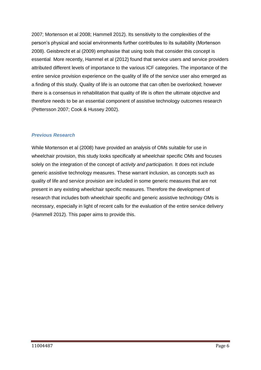2007; Mortenson et al 2008; Hammell 2012). Its sensitivity to the complexities of the person"s physical and social environments further contributes to its suitability (Mortenson 2008). Geisbrecht et al (2009) emphasise that using tools that consider this concept is essential. More recently, Hammel et al (2012) found that service users and service providers attributed different levels of importance to the various ICF categories. The importance of the entire service provision experience on the quality of life of the service user also emerged as a finding of this study. Quality of life is an outcome that can often be overlooked; however there is a consensus in rehabilitation that quality of life is often the ultimate objective and therefore needs to be an essential component of assistive technology outcomes research (Pettersson 2007; Cook & Hussey 2002).

## *Previous Research*

While Mortenson et al (2008) have provided an analysis of OMs suitable for use in wheelchair provision, this study looks specifically at wheelchair specific OMs and focuses solely on the integration of the concept of *activity and participation.* It does not include generic assistive technology measures. These warrant inclusion, as concepts such as quality of life and service provision are included in some generic measures that are not present in any existing wheelchair specific measures. Therefore the development of research that includes both wheelchair specific and generic assistive technology OMs is necessary, especially in light of recent calls for the evaluation of the entire service delivery (Hammell 2012). This paper aims to provide this.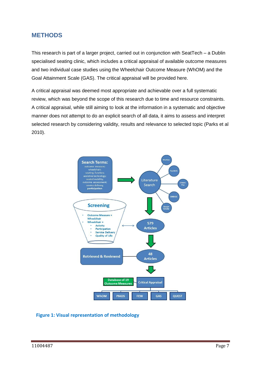## **METHODS**

This research is part of a larger project, carried out in conjunction with SeatTech – a Dublin specialised seating clinic, which includes a critical appraisal of available outcome measures and two individual case studies using the Wheelchair Outcome Measure (WhOM) and the Goal Attainment Scale (GAS). The critical appraisal will be provided here.

A critical appraisal was deemed most appropriate and achievable over a full systematic review, which was beyond the scope of this research due to time and resource constraints. A critical appraisal, while still aiming to look at the information in a systematic and objective manner does not attempt to do an explicit search of all data, it aims to assess and interpret selected research by considering validity, results and relevance to selected topic (Parks et al 2010).



### **Figure 1: Visual representation of methodology**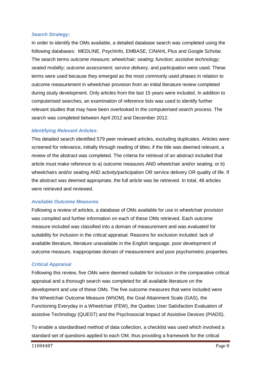#### *Search Strategy:*

In order to identify the OMs available, a detailed database search was completed using the following databases: MEDLINE, PsychInfo, EMBASE, CINAHL Plus and Google Scholar. The search terms *outcome measure; wheelchair; seating; function; assistive technology; seated mobility; outcome assessment; service delivery,* and *participation* were used. These terms were used because they emerged as the most commonly used phases in relation to outcome measurement in wheelchair provision from an initial literature review completed during study development. Only articles from the last 15 years were included. In addition to computerised searches, an examination of reference lists was used to identify further relevant studies that may have been overlooked in the computerised search process. The search was completed between April 2012 and December 2012.

#### *Identifying Relevant Articles:*

This detailed search identified 579 peer reviewed articles, excluding duplicates. Articles were screened for relevance, initially through reading of titles; if the title was deemed relevant, a review of the abstract was completed. The criteria for retrieval of an abstract included that article must make reference to a) outcome measures AND wheelchair and/or seating; or b) wheelchairs and/or seating AND activity/participation OR service delivery OR quality of life. If the abstract was deemed appropriate, the full article was be retrieved. In total, 48 articles were retrieved and reviewed.

#### *Available Outcome Measures*

Following a review of articles, a database of OMs available for use in wheelchair provision was compiled and further information on each of these OMs retrieved. Each outcome measure included was classified into a domain of measurement and was evaluated for suitability for inclusion in the critical appraisal. Reasons for exclusion included: lack of available literature, literature unavailable in the English language, poor development of outcome measure, inappropriate domain of measurement and poor psychometric properties.

### *Critical Appraisal*

Following this review, five OMs were deemed suitable for inclusion in the comparative critical appraisal and a thorough search was completed for all available literature on the development and use of these OMs. The five outcome measures that were included were the Wheelchair Outcome Measure (WhOM), the Goal Attainment Scale (GAS), the Functioning Everyday in a Wheelchair (FEW), the Quebec User Satisfaction Evaluation of assistive Technology (QUEST) and the Psychosocial Impact of Assistive Devices (PIADS).

To enable a standardised method of data collection, a checklist was used which involved a standard set of questions applied to each OM, thus providing a framework for the critical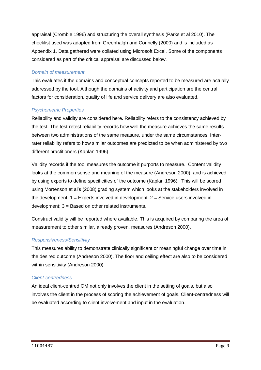appraisal (Crombie 1996) and structuring the overall synthesis (Parks et al 2010). The checklist used was adapted from Greenhalgh and Connelly (2000) and is included as Appendix 1. Data gathered were collated using Microsoft Excel. Some of the components considered as part of the critical appraisal are discussed below.

#### *Domain of measurement*

This evaluates if the domains and conceptual concepts reported to be measured are actually addressed by the tool. Although the domains of activity and participation are the central factors for consideration, quality of life and service delivery are also evaluated.

### *Psychometric Properties*

Reliability and validity are considered here. Reliability refers to the consistency achieved by the test. The test-retest reliability records how well the measure achieves the same results between two administrations of the same measure, under the same circumstances. Interrater reliability refers to how similar outcomes are predicted to be when administered by two different practitioners (Kaplan 1996).

Validity records if the tool measures the outcome it purports to measure. Content validity looks at the common sense and meaning of the measure (Andreson 2000), and is achieved by using experts to define specificities of the outcome (Kaplan 1996). This will be scored using Mortenson et al"s (2008) grading system which looks at the stakeholders involved in the development:  $1 =$  Experts involved in development;  $2 =$  Service users involved in development; 3 = Based on other related instruments.

Construct validity will be reported where available. This is acquired by comparing the area of measurement to other similar, already proven, measures (Andreson 2000).

#### *Responsiveness/Sensitivity*

This measures ability to demonstrate clinically significant or meaningful change over time in the desired outcome (Andreson 2000). The floor and ceiling effect are also to be considered within sensitivity (Andreson 2000).

#### *Client-centredness*

An ideal client-centred OM not only involves the client in the setting of goals, but also involves the client in the process of scoring the achievement of goals. Client-centredness will be evaluated according to client involvement and input in the evaluation.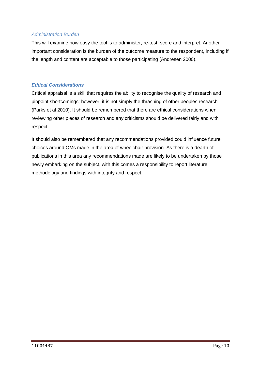### *Administration Burden*

This will examine how easy the tool is to administer, re-test, score and interpret. Another important consideration is the burden of the outcome measure to the respondent, including if the length and content are acceptable to those participating (Andresen 2000).

### *Ethical Considerations*

Critical appraisal is a skill that requires the ability to recognise the quality of research and pinpoint shortcomings; however, it is not simply the thrashing of other peoples research (Parks et al 2010). It should be remembered that there are ethical considerations when reviewing other pieces of research and any criticisms should be delivered fairly and with respect.

It should also be remembered that any recommendations provided could influence future choices around OMs made in the area of wheelchair provision. As there is a dearth of publications in this area any recommendations made are likely to be undertaken by those newly embarking on the subject, with this comes a responsibility to report literature, methodology and findings with integrity and respect.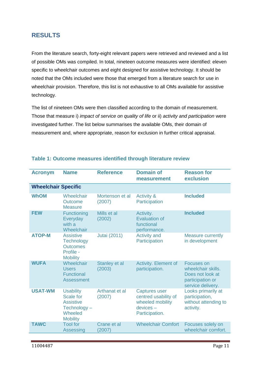## **RESULTS**

From the literature search, forty-eight relevant papers were retrieved and reviewed and a list of possible OMs was compiled. In total, nineteen outcome measures were identified: eleven specific to wheelchair outcomes and eight designed for assistive technology. It should be noted that the OMs included were those that emerged from a literature search for use in wheelchair provision. Therefore, this list is not exhaustive to all OMs available for assistive technology.

The list of nineteen OMs were then classified according to the domain of measurement. Those that measure i) *impact of service on quality of life* or ii) *activity and participation* were investigated further. The list below summarises the available OMs, their domain of measurement and, where appropriate, reason for exclusion in further critical appraisal.

| <b>Acronym</b>             | <b>Name</b>                                                                                           | <b>Reference</b>          | <b>Domain of</b><br>measurement                                                                | <b>Reason for</b><br>exclusion                                                                |
|----------------------------|-------------------------------------------------------------------------------------------------------|---------------------------|------------------------------------------------------------------------------------------------|-----------------------------------------------------------------------------------------------|
| <b>Wheelchair Specific</b> |                                                                                                       |                           |                                                                                                |                                                                                               |
| <b>WhOM</b>                | Wheelchair<br>Outcome<br><b>Measure</b>                                                               | Mortenson et al<br>(2007) | <b>Activity &amp;</b><br>Participation                                                         | <b>Included</b>                                                                               |
| <b>FEW</b>                 | Functioning<br>Everyday<br>with a<br>Wheelchair                                                       | Mills et al<br>(2002)     | Activity.<br><b>Evaluation of</b><br>functional<br>performance.                                | <b>Included</b>                                                                               |
| <b>ATOP-M</b>              | <b>Assistive</b><br><b>Technology</b><br><b>Outcomes</b><br>Profile -<br><b>Mobility</b>              | <b>Jutai (2011)</b>       | <b>Activity and</b><br>Participation                                                           | <b>Measure currently</b><br>in development                                                    |
| <b>WUFA</b>                | Wheelchair<br><b>Users</b><br><b>Functional</b><br>Assessment                                         | Stanley et al<br>(2003)   | Activity. Element of<br>participation.                                                         | Focuses on<br>wheelchair skills.<br>Does not look at<br>participation or<br>service delivery. |
| <b>USAT-WM</b>             | <b>Usability</b><br><b>Scale for</b><br><b>Assistive</b><br>Technology-<br>Wheeled<br><b>Mobility</b> | Arthanat et al<br>(2007)  | <b>Captures user</b><br>centred usability of<br>wheeled mobility<br>devices-<br>Participation. | Looks primarily at<br>participation,<br>without attending to<br>activity.                     |
| <b>TAWC</b>                | <b>Tool for</b><br><b>Assessing</b>                                                                   | Crane et al<br>(2007)     | <b>Wheelchair Comfort</b>                                                                      | Focuses solely on<br>wheelchair comfort.                                                      |

### **Table 1: Outcome measures identified through literature review**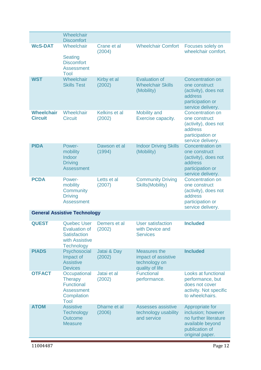|                                     | Wheelchair<br><b>Discomfort</b>                                                                          |                         |                                                                         |                                                                                                                         |
|-------------------------------------|----------------------------------------------------------------------------------------------------------|-------------------------|-------------------------------------------------------------------------|-------------------------------------------------------------------------------------------------------------------------|
| <b>WcS-DAT</b>                      | Wheelchair<br><b>Seating</b><br><b>Discomfort</b><br><b>Assessment</b><br>Tool                           | Crane et al<br>(2004)   | <b>Wheelchair Comfort</b>                                               | Focuses solely on<br>wheelchair comfort.                                                                                |
| <b>WST</b>                          | Wheelchair<br><b>Skills Test</b>                                                                         | Kirby et al<br>(2002)   | <b>Evaluation of</b><br><b>Wheelchair Skills</b><br>(Mobility)          | <b>Concentration on</b><br>one construct<br>(activity), does not<br>address<br>participation or<br>service delivery.    |
| <b>Wheelchair</b><br><b>Circuit</b> | Wheelchair<br><b>Circuit</b>                                                                             | Kelkins et al<br>(2002) | <b>Mobility and</b><br>Exercise capacity.                               | <b>Concentration on</b><br>one construct<br>(activity), does not<br>address<br>participation or<br>service delivery.    |
| <b>PIDA</b>                         | Power-<br>mobility<br>Indoor<br><b>Driving</b><br><b>Assessment</b>                                      | Dawson et al<br>(1994)  | <b>Indoor Driving Skills</b><br>(Mobility)                              | <b>Concentration on</b><br>one construct<br>(activity), does not<br>address<br>participation or<br>service delivery.    |
| <b>PCDA</b>                         | Power-<br>mobility<br>Community<br><b>Driving</b><br><b>Assessment</b>                                   | Letts et al<br>(2007)   | <b>Community Driving</b><br><b>Skills(Mobility)</b>                     | <b>Concentration on</b><br>one construct<br>(activity), does not<br>address<br>participation or<br>service delivery.    |
|                                     | <b>General Assistive Technology</b>                                                                      |                         |                                                                         |                                                                                                                         |
| <b>QUEST</b>                        | <b>Quebec User</b><br><b>Evaluation of</b><br><b>Satisfaction</b><br>with Assistive<br><b>Technology</b> | Demers et al<br>(2002)  | <b>User satisfaction</b><br>with Device and<br><b>Services</b>          | <b>Included</b>                                                                                                         |
| <b>PIADS</b>                        | Psychosocial<br>Impact of<br><b>Assistive</b><br><b>Devices</b>                                          | Jatai & Day<br>(2002)   | Measures the<br>impact of assistive<br>technology on<br>quality of life | <b>Included</b>                                                                                                         |
| <b>OTFACT</b>                       | Occupational<br><b>Therapy</b><br><b>Functional</b><br><b>Assessment</b><br>Compilation<br>Tool          | Jatai et al<br>(2002)   | <b>Functional</b><br>performance.                                       | Looks at functional<br>performance, but<br>does not cover<br>activity. Not specific<br>to wheelchairs.                  |
| <b>ATOM</b>                         | <b>Assistive</b><br><b>Technology</b><br><b>Outcome</b><br><b>Measure</b>                                | Dharne et al<br>(2006)  | <b>Assesses assistive</b><br>technology usability<br>and service        | Appropriate for<br>inclusion; however<br>no further literature<br>available beyond<br>publication of<br>original paper. |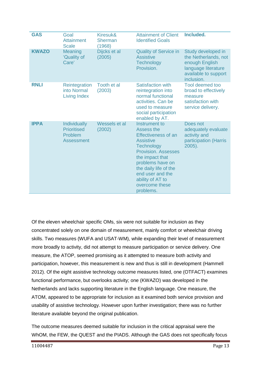| <b>GAS</b>   | Goal<br><b>Attainment</b><br><b>Scale</b>                          | Kiresuk&<br><b>Sherman</b><br>(1968) | <b>Attainment of Client</b><br><b>Identified Goals</b>                                                                                                                                                                                                                  | Included.                                                                                                                 |
|--------------|--------------------------------------------------------------------|--------------------------------------|-------------------------------------------------------------------------------------------------------------------------------------------------------------------------------------------------------------------------------------------------------------------------|---------------------------------------------------------------------------------------------------------------------------|
| <b>KWAZO</b> | Meaning<br>'Quality of<br>Care <sup>®</sup>                        | Dijcks et al<br>(2005)               | <b>Quality of Service in</b><br><b>Assistive</b><br><b>Technology</b><br>Provision.                                                                                                                                                                                     | Study developed in<br>the Netherlands, not<br>enough English<br>language literature<br>available to support<br>inclusion. |
| <b>RNLI</b>  | Reintegration<br>into Normal<br><b>Living Index</b>                | Tooth et al<br>(2003)                | Satisfaction with<br>reintegration into<br>normal functional<br>activities. Can be<br>used to measure<br>social participation<br>enabled by AT.                                                                                                                         | Tool deemed too<br>broad to effectively<br>measure<br>satisfaction with<br>service delivery.                              |
| <b>IPPA</b>  | <b>Individually</b><br><b>Prioritised</b><br>Problem<br>Assessment | Wessels et al<br>(2002)              | Instrument to<br>Assess the<br><b>Effectiveness of an</b><br><b>Assistive</b><br><b>Technology</b><br><b>Provision. Assesses</b><br>the impact that<br>problems have on<br>the daily life of the<br>end user and the<br>ability of AT to<br>overcome these<br>problems. | Does not<br>adequately evaluate<br>activity and<br>participation (Harris<br>$2005$ ).                                     |

Of the eleven wheelchair specific OMs, six were not suitable for inclusion as they concentrated solely on one domain of measurement, mainly comfort or wheelchair driving skills. Two measures (WUFA and USAT-WM), while expanding their level of measurement more broadly to activity, did not attempt to measure participation or service delivery. One measure, the ATOP, seemed promising as it attempted to measure both activity and participation, however, this measurement is new and thus is still in development (Hammell 2012). Of the eight assistive technology outcome measures listed, one (OTFACT) examines functional performance, but overlooks activity; one (KWAZO) was developed in the Netherlands and lacks supporting literature in the English language. One measure, the ATOM, appeared to be appropriate for inclusion as it examined both service provision and usability of assistive technology. However upon further investigation; there was no further literature available beyond the original publication.

The outcome measures deemed suitable for inclusion in the critical appraisal were the WhOM, the FEW, the QUEST and the PIADS. Although the GAS does not specifically focus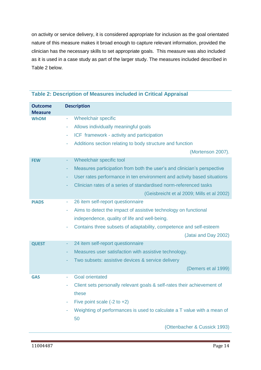on activity or service delivery, it is considered appropriate for inclusion as the goal orientated nature of this measure makes it broad enough to capture relevant information, provided the clinician has the necessary skills to set appropriate goals. This measure was also included as it is used in a case study as part of the larger study. The measures included described in Table 2 below.

| <b>Outcome</b> | <b>Description</b>                                                                   |
|----------------|--------------------------------------------------------------------------------------|
| Measure        |                                                                                      |
| WhOM           | Wheelchair specific<br>$\sim$                                                        |
|                | Allows individually meaningful goals<br>$\sim$                                       |
|                | ICF framework - activity and participation<br>$\sim$                                 |
|                | Additions section relating to body structure and function<br>٠                       |
|                | (Mortenson 2007).                                                                    |
| <b>FEW</b>     | Wheelchair specific tool<br>÷                                                        |
|                | Measures participation from both the user's and clinician's perspective<br>÷         |
|                | User rates performance in ten environment and activity based situations<br>$\sim$    |
|                | Clinician rates of a series of standardised norm-referenced tasks                    |
|                | (Geisbreicht et al 2009; Mills et al 2002)                                           |
| <b>PIADS</b>   | 26 item self-report questionnaire<br>$\overline{\phantom{a}}$                        |
|                | Aims to detect the impact of assistive technology on functional<br>$\blacksquare$    |
|                | independence, quality of life and well-being.                                        |
|                | Contains three subsets of adaptability, competence and self-esteem<br>$\blacksquare$ |
|                | (Jatai and Day 2002)                                                                 |
| <b>QUEST</b>   | 24 item self-report questionnaire<br>$\blacksquare$                                  |
|                | Measures user satisfaction with assistive technology.<br>÷                           |
|                | Two subsets: assistive devices & service delivery                                    |
|                | (Demers et al 1999)                                                                  |
| <b>GAS</b>     | <b>Goal orientated</b>                                                               |
|                | Client sets personally relevant goals & self-rates their achievement of<br>÷         |
|                | these                                                                                |
|                | Five point scale $(-2 \text{ to } +2)$<br>٠                                          |
|                | Weighting of performances is used to calculate a T value with a mean of              |
|                | 50                                                                                   |
|                | (Ottenbacher & Cussick 1993)                                                         |

## **Table 2: Description of Measures included in Critical Appraisal**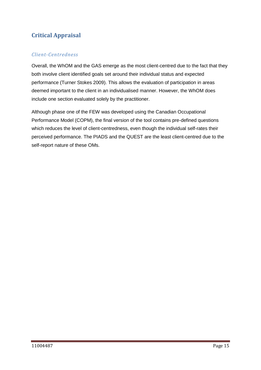## **Critical Appraisal**

## *Client-Centredness*

Overall, the WhOM and the GAS emerge as the most client-centred due to the fact that they both involve client identified goals set around their individual status and expected performance (Turner Stokes 2009). This allows the evaluation of participation in areas deemed important to the client in an individualised manner. However, the WhOM does include one section evaluated solely by the practitioner.

Although phase one of the FEW was developed using the Canadian Occupational Performance Model (COPM), the final version of the tool contains pre-defined questions which reduces the level of client-centredness, even though the individual self-rates their perceived performance. The PIADS and the QUEST are the least client-centred due to the self-report nature of these OMs.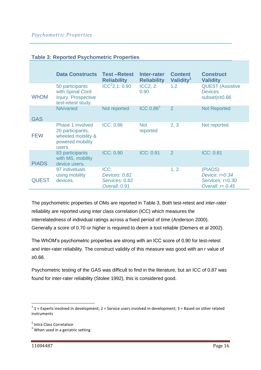|  | <b>Table 3: Reported Psychometric Properties</b> |  |
|--|--------------------------------------------------|--|
|  |                                                  |  |

|              | <b>Data Constructs</b>                                                                   | <b>Test-Retest</b><br><b>Reliability</b>                 | Inter-rater<br><b>Reliability</b> | <b>Content</b><br>Validity <sup>1</sup> | <b>Construct</b><br><b>Validity</b>                                    |
|--------------|------------------------------------------------------------------------------------------|----------------------------------------------------------|-----------------------------------|-----------------------------------------|------------------------------------------------------------------------|
| <b>WhOM</b>  | 50 participants<br>with Spinal Cord<br><b>Injury. Prospective</b><br>test-retest study.  | ICC <sup>2</sup> 2, 1: 0.90                              | <b>ICC2, 2:</b><br>0.90           | 1,2                                     | <b>QUEST (Assistive</b><br><b>Devices</b><br>subset) $r \ge 0.66$      |
| <b>GAS</b>   | NA/varied                                                                                | Not reported                                             | ICC 0.86 <sup>3</sup>             | $\mathcal{P}$                           | <b>Not Reported</b>                                                    |
| <b>FEW</b>   | Phase 1 involved<br>20 participants,<br>wheeled mobility &<br>powered mobility<br>users. | <b>ICC: 0.86</b>                                         | <b>Not</b><br>reported            | 2, 3                                    | Not reported                                                           |
| <b>PIADS</b> | 83 participants<br>with MS, mobility<br>device users.                                    | <b>ICC: 0.90</b>                                         | <b>ICC: 0.91</b>                  | 2                                       | <b>ICC: 0.81</b>                                                       |
| <b>QUEST</b> | 97 individuals<br>using mobility<br>devices.                                             | ICC:<br>Devices: 0.82<br>Services: 0.82<br>Overall: 0.91 |                                   | 1, 2                                    | (PIADS)<br>Device: $r=0.34$<br>Services: r=0.30<br>Overall: $r = 0.45$ |

The psychometric properties of OMs are reported in Table 3. Both test-retest and inter-rater reliability are reported using inter class correlation (ICC) which measures the interrelatedness of individual ratings across a fixed period of time (Anderson 2000). Generally a score of 0.70 or higher is required to deem a tool reliable (Demers et al 2002).

The WhOM"s psychometric properties are strong with an ICC score of 0.90 for test-retest and inter-rater reliability. The construct validity of this measure was good with an r value of ≥0.66.

Psychometric testing of the GAS was difficult to find in the literature, but an ICC of 0.87 was found for inter-rater reliability (Stolee 1992), this is considered good.

 1 1 = Experts involved in development; 2 = Service users involved in development; 3 = Based on other related instruments

<sup>&</sup>lt;sup>2</sup> Intra Class Correlation

 $3$  When used in a geriatric setting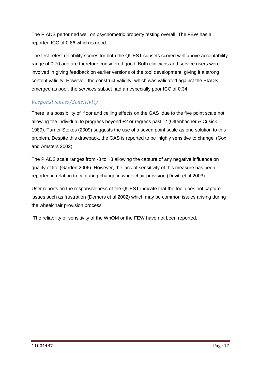The PIADS performed well on psychometric property testing overall. The FEW has a reported ICC of 0.86 which is good.

The test-retest reliability scores for both the QUEST subsets scored well above acceptability range of 0.70 and are therefore considered good. Both clinicians and service users were involved in giving feedback on earlier versions of the tool development, giving it a strong content validity. However, the construct validity, which was validated against the PIADS emerged as poor, the *services* subset had an especially poor ICC of 0.34.

## *Responsiveness/Sensitivity*

There is a possibility of floor and ceiling effects on the GAS due to the five point scale not allowing the individual to progress beyond +2 or regress past -2 (Ottenbacher & Cusick 1989). Turner Stokes (2009) suggests the use of a seven point scale as one solution to this problem. Despite this drawback, the GAS is reported to be "highly sensitive to change" (Cox and Amsters 2002).

The PIADS scale ranges from -3 to +3 allowing the capture of any negative influence on quality of life (Garden 2006). However, the lack of sensitivity of this measure has been reported in relation to capturing change in wheelchair provision (Devitt et al 2003).

User reports on the responsiveness of the QUEST indicate that the tool does not capture issues such as frustration (Demers et al 2002) which may be common issues arising during the wheelchair provision process.

The reliability or sensitivity of the WhOM or the FEW have not been reported.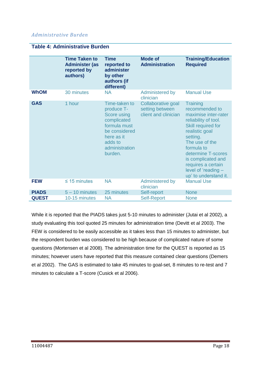## *Administrative Burden*

|              | <b>Time Taken to</b><br><b>Administer (as</b><br>reported by<br>authors) | <b>Time</b><br>reported to<br>administer<br>by other<br>authors (if<br>different)                                                                | <b>Mode of</b><br><b>Administration</b>                       | <b>Training/Education</b><br><b>Required</b>                                                                                                                                                                                                                                            |
|--------------|--------------------------------------------------------------------------|--------------------------------------------------------------------------------------------------------------------------------------------------|---------------------------------------------------------------|-----------------------------------------------------------------------------------------------------------------------------------------------------------------------------------------------------------------------------------------------------------------------------------------|
| <b>WhOM</b>  | 30 minutes                                                               | <b>NA</b>                                                                                                                                        | Administered by<br>clinician                                  | <b>Manual Use</b>                                                                                                                                                                                                                                                                       |
| <b>GAS</b>   | 1 hour                                                                   | Time-taken to<br>produce T-<br>Score using<br>complicated<br>formula must<br>be considered<br>here as it<br>adds to<br>administration<br>burden. | Collaborative goal<br>setting between<br>client and clinician | <b>Training</b><br>recommended to<br>maximise inter-rater<br>reliability of tool.<br>Skill required for<br>realistic goal<br>setting.<br>The use of the<br>formula to<br>determine T-scores<br>is complicated and<br>requires a certain<br>level of 'reading -<br>up' to understand it. |
| <b>FEW</b>   | $\leq$ 15 minutes                                                        | <b>NA</b>                                                                                                                                        | Administered by<br>clinician                                  | <b>Manual Use</b>                                                                                                                                                                                                                                                                       |
| <b>PIADS</b> | $5 - 10$ minutes                                                         | 25 minutes                                                                                                                                       | Self-report                                                   | <b>None</b>                                                                                                                                                                                                                                                                             |
| <b>QUEST</b> | 10-15 minutes                                                            | ΝA                                                                                                                                               | <b>Self-Report</b>                                            | <b>None</b>                                                                                                                                                                                                                                                                             |

#### **Table 4: Administrative Burden**

While it is reported that the PIADS takes just 5-10 minutes to administer (Jutai et al 2002), a study evaluating this tool quoted 25 minutes for administration time (Devitt et al 2003). The FEW is considered to be easily accessible as it takes less than 15 minutes to administer, but the respondent burden was considered to be high because of complicated nature of some questions (Mortensen et al 2008). The administration time for the QUEST is reported as 15 minutes; however users have reported that this measure contained clear questions (Demers et al 2002). The GAS is estimated to take 45 minutes to goal-set, 8 minutes to re-test and 7 minutes to calculate a T-score (Cusick et al 2006).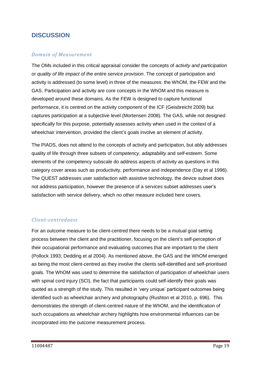## **DISCUSSION**

## *Domain of Measurement*

The OMs included in this critical appraisal consider the concepts of *activity and participation* or *quality of life impact of the entire service provision*. The concept of participation and activity is addressed (to some level) in three of the measures: the WhOM, the FEW and the GAS. Participation and activity are core concepts in the WhOM and this measure is developed around these domains. As the FEW is designed to capture functional performance, it is centred on the activity component of the ICF (Geisbreicht 2009) but captures participation at a subjective level (Mortensen 2008). The GAS, while not designed specifically for this purpose, potentially assesses activity when used in the context of a wheelchair intervention, provided the client's goals involve an element of activity.

The PIADS, does not attend to the concepts of activity and participation, but ably addresses quality of life through three subsets of *competency*, *adaptability* and *self-esteem*. Some elements of the competency subscale do address aspects of activity as questions in this category cover areas such as productivity, performance and independence (Day et al 1996). The QUEST addresses user satisfaction with assistive technology, the device subset does not address participation, however the presence of a *services* subset addresses user"s satisfaction with service delivery, which no other measure included here covers.

### *Client-centredness*

For an outcome measure to be client-centred there needs to be a mutual goal setting process between the client and the practitioner, focusing on the client"s self-perception of their occupational performance and evaluating outcomes that are important to the client (Pollock 1993; Dedding et al 2004). As mentioned above, the GAS and the WhOM emerged as being the most client-centred as they involve the clients self-identified and self-prioritised goals. The WhOM was used to determine the satisfaction of participation of wheelchair users with spinal cord injury (SCI), the fact that participants could self-identify their goals was quoted as a strength of the study. This resulted in "very unique" participant outcomes being identified such as wheelchair archery and photography (Rushton et al 2010, p. 696). This demonstrates the strength of client-centred nature of the WhOM, and the identification of such occupations as wheelchair archery highlights how environmental influences can be incorporated into the outcome measurement process.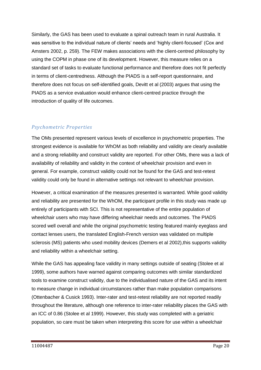Similarly, the GAS has been used to evaluate a spinal outreach team in rural Australia. It was sensitive to the individual nature of clients" needs and "highly client-focused" (Cox and Amsters 2002, p. 259). The FEW makes associations with the client-centred philosophy by using the COPM in phase one of its development. However, this measure relies on a standard set of tasks to evaluate functional performance and therefore does not fit perfectly in terms of client-centredness. Although the PIADS is a self-report questionnaire, and therefore does not focus on self-identified goals, Devitt et al (2003) argues that using the PIADS as a service evaluation would enhance client-centred practice through the introduction of quality of life outcomes.

## *Psychometric Properties*

The OMs presented represent various levels of excellence in psychometric properties. The strongest evidence is available for WhOM as both reliability and validity are clearly available and a strong reliability and construct validity are reported. For other OMs, there was a lack of availability of reliability and validity in the context of wheelchair provision and even in general. For example, construct validity could not be found for the GAS and test-retest validity could only be found in alternative settings not relevant to wheelchair provision.

However, a critical examination of the measures presented is warranted. While good validity and reliability are presented for the WhOM, the participant profile in this study was made up entirely of participants with SCI. This is not representative of the entire population of wheelchair users who may have differing wheelchair needs and outcomes. The PIADS scored well overall and while the original psychometric testing featured mainly eyeglass and contact lenses users, the translated English-French version was validated on multiple sclerosis (MS) patients who used mobility devices (Demers et al 2002), this supports validity and reliability within a wheelchair setting.

While the GAS has appealing face validity in many settings outside of seating (Stolee et al 1999), some authors have warned against comparing outcomes with similar standardized tools to examine construct validity, due to the individualised nature of the GAS and its intent to measure change in individual circumstances rather than make population comparisons (Ottenbacher & Cusick 1993). Inter-rater and test-retest reliability are not reported readily throughout the literature, although one reference to inter-rater reliability places the GAS with an ICC of 0.86 (Stolee et al 1999). However, this study was completed with a geriatric population, so care must be taken when interpreting this score for use within a wheelchair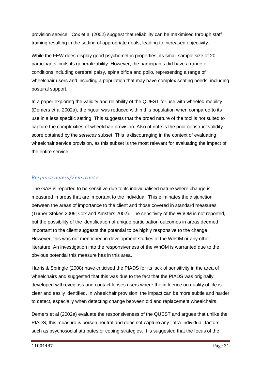provision service. Cox et al (2002) suggest that reliability can be maximised through staff training resulting in the setting of appropriate goals, leading to increased objectivity.

While the FEW does display good psychometric properties, its small sample size of 20 participants limits its generalizability. However, the participants did have a range of conditions including cerebral palsy, spina bifida and polio, representing a range of wheelchair users and including a population that may have complex seating needs, including postural support.

In a paper exploring the validity and reliability of the QUEST for use with wheeled mobility (Demers et al 2002a), the rigour was reduced within this population when compared to its use in a less specific setting. This suggests that the broad nature of the tool is not suited to capture the complexities of wheelchair provision. Also of note is the poor construct validity score obtained by the *services* subset. This is discouraging in the context of evaluating wheelchair service provision, as this subset is the most relevant for evaluating the impact of the entire service.

## *Responsiveness/Sensitivity*

The GAS is reported to be sensitive due to its individualised nature where change is measured in areas that are important to the individual. This eliminates the disjunction between the areas of importance to the client and those covered in standard measures (Turner Stokes 2009; Cox and Amsters 2002). The sensitivity of the WhOM is not reported, but the possibility of the identification of unique participation outcomes in areas deemed important to the client suggests the potential to be highly responsive to the change. However, this was not mentioned in development studies of the WhOM or any other literature. An investigation into the responsiveness of the WhOM is warranted due to the obvious potential this measure has in this area.

Harris & Springle (2008) have criticised the PIADS for its lack of sensitivity in the area of wheelchairs and suggested that this was due to the fact that the PIADS was originally developed with eyeglass and contact lenses users where the influence on quality of life is clear and easily identified. In wheelchair provision, the impact can be more subtle and harder to detect, especially when detecting change between old and replacement wheelchairs.

Demers et al (2002a) evaluate the responsiveness of the QUEST and argues that unlike the PIADS, this measure is person neutral and does not capture any "intra-individual" factors such as psychosocial attributes or coping strategies. It is suggested that the focus of the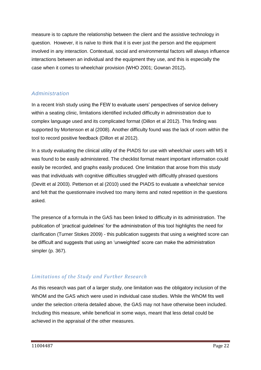measure is to capture the relationship between the client and the assistive technology in question. However, it is naïve to think that it is ever just the person and the equipment involved in any interaction. Contextual, social and environmental factors will always influence interactions between an individual and the equipment they use, and this is especially the case when it comes to wheelchair provision (WHO 2001; Gowran 2012)**.**

## *Administration*

In a recent Irish study using the FEW to evaluate users" perspectives of service delivery within a seating clinic, limitations identified included difficulty in administration due to complex language used and its complicated format (Dillon et al 2012). This finding was supported by Mortenson et al (2008). Another difficulty found was the lack of room within the tool to record positive feedback (Dillon et al 2012).

In a study evaluating the clinical utility of the PIADS for use with wheelchair users with MS it was found to be easily administered. The checklist format meant important information could easily be recorded, and graphs easily produced. One limitation that arose from this study was that individuals with cognitive difficulties struggled with difficultly phrased questions (Devitt et al 2003). Petterson et al (2010) used the PIADS to evaluate a wheelchair service and felt that the questionnaire involved too many items and noted repetition in the questions asked.

The presence of a formula in the GAS has been linked to difficulty in its administration. The publication of "practical guidelines" for the administration of this tool highlights the need for clarification (Turner Stokes 2009) - this publication suggests that using a weighted score can be difficult and suggests that using an "unweighted" score can make the administration simpler (p. 367).

## *Limitations of the Study and Further Research*

As this research was part of a larger study, one limitation was the obligatory inclusion of the WhOM and the GAS which were used in individual case studies. While the WhOM fits well under the selection criteria detailed above, the GAS may not have otherwise been included. Including this measure, while beneficial in some ways, meant that less detail could be achieved in the appraisal of the other measures.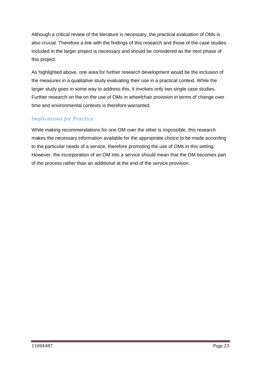Although a critical review of the literature is necessary, the practical evaluation of OMs is also crucial. Therefore a link with the findings of this research and those of the case studies included in the larger project is necessary and should be considered as the next phase of this project.

As highlighted above, one area for further research development would be the inclusion of the measures in a qualitative study evaluating their use in a practical context. While the larger study goes in some way to address this, it involves only two single case studies. Further research on the on the use of OMs in wheelchair provision in terms of change over time and environmental contexts is therefore warranted.

## *Implications for Practice*

While making recommendations for one OM over the other is impossible, this research makes the necessary information available for the appropriate choice to be made according to the particular needs of a service, therefore promoting the use of OMs in this setting. However, the incorporation of an OM into a service should mean that the OM becomes part of the process rather than an additional at the end of the service provision.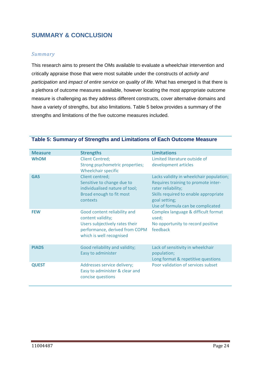## **SUMMARY & CONCLUSION**

## *Summary*

This research aims to present the OMs available to evaluate a wheelchair intervention and critically appraise those that were most suitable under the constructs of *activity and participation* and *impact of entire service on quality of life.* What has emerged is that there is a plethora of outcome measures available, however locating the most appropriate outcome measure is challenging as they address different constructs, cover alternative domains and have a variety of strengths, but also limitations. Table 5 below provides a summary of the strengths and limitations of the five outcome measures included.

| <b>Measure</b> | <b>Strengths</b>                                                                                                                                  | <b>Limitations</b>                                                                                                                                                                                   |
|----------------|---------------------------------------------------------------------------------------------------------------------------------------------------|------------------------------------------------------------------------------------------------------------------------------------------------------------------------------------------------------|
| <b>WhOM</b>    | <b>Client Centred;</b><br>Strong psychometric properties;<br>Wheelchair specific                                                                  | Limited literature outside of<br>development articles                                                                                                                                                |
| <b>GAS</b>     | Client centred;<br>Sensitive to change due to<br>individualised nature of tool;<br>Broad enough to fit most<br>contexts                           | Lacks validity in wheelchair population;<br>Requires training to promote inter-<br>rater reliability;<br>Skills required to enable appropriate<br>goal setting;<br>Use of formula can be complicated |
| <b>FEW</b>     | Good content reliability and<br>content validity;<br>Users subjectively rates their<br>performance, derived from COPM<br>which is well recognised | Complex language & difficult format<br>used;<br>No opportunity to record positive<br>feedback                                                                                                        |
| <b>PIADS</b>   | Good reliability and validity;<br>Easy to administer                                                                                              | Lack of sensitivity in wheelchair<br>population;<br>Long format & repetitive questions                                                                                                               |
| <b>QUEST</b>   | Addresses service delivery;<br>Easy to administer & clear and<br>concise questions                                                                | Poor validation of services subset                                                                                                                                                                   |

#### **Table 5: Summary of Strengths and Limitations of Each Outcome Measure**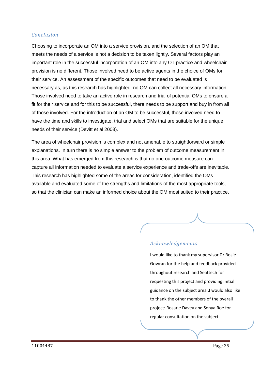## *Conclusion*

Choosing to incorporate an OM into a service provision, and the selection of an OM that meets the needs of a service is not a decision to be taken lightly. Several factors play an important role in the successful incorporation of an OM into any OT practice and wheelchair provision is no different. Those involved need to be active agents in the choice of OMs for their service. An assessment of the specific outcomes that need to be evaluated is necessary as, as this research has highlighted, no OM can collect all necessary information. Those involved need to take an active role in research and trial of potential OMs to ensure a fit for their service and for this to be successful, there needs to be support and buy in from all of those involved. For the introduction of an OM to be successful, those involved need to have the time and skills to investigate, trial and select OMs that are suitable for the unique needs of their service (Devitt et al 2003).

The area of wheelchair provision is complex and not amenable to straightforward or simple explanations. In turn there is no simple answer to the problem of outcome measurement in this area. What has emerged from this research is that no one outcome measure can capture all information needed to evaluate a service experience and trade-offs are inevitable. This research has highlighted some of the areas for consideration, identified the OMs available and evaluated some of the strengths and limitations of the most appropriate tools, so that the clinician can make an informed choice about the OM most suited to their practice.

### *Acknowledgements*

I would like to thank my supervisor Dr Rosie Gowran for the help and feedback provided throughout research and Seattech for requesting this project and providing initial guidance on the subject area .I would also like to thank the other members of the overall project: Rosarie Davey and Sonya Roe for regular consultation on the subject.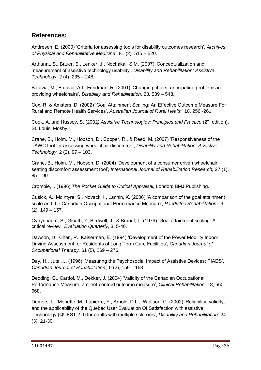## **References:**

Andresen, E. (2000) "Criteria for assessing tools for disability outcomes research", *Archives of Physical and Rehabilitative Medicine'*, 81 (2), 515 – 520.

Arthanat, S., Bauer, S., Lenker, J., Nochakai, S.M. (2007) "Conceptualization and measurement of assistive technology usability", *Disability and Rehabilitation: Assistive Technology,* 2 (4), 235 – 248.

Batavia, M., Batavia, A.I., Freidman, R. (2001) "Changing chairs: anticipating problems in providing wheelchairs", *Disability and Rehabilitation,* 23, 539 – 548.

Cox, R. & Amsters, D. (2002) "Goal Attainment Scaling: An Effective Outcome Measure For Rural and Remote Health Services", *Australian Journal of Rural Health,* 10, 256 -261.

Cook, A. and Hussey, S. (2002*) Assistive Technologies: Principles and Practice* (2nd edition), St. Louis: Mosby.

Crane, B., Holm. M., Hobson, D., Cooper, R., & Reed, M. (2007) "Responsiveness of the TAWC tool for assessing wheelchair discomfort", *Disability and Rehabilitation: Assistive Technology*, 2 (2), 97 – 103.

Crane, B., Holm. M., Hobson, D. (2004) "Development of a consumer driven wheelchair seating discomfort assessment tool", *International Journal of Rehabilitation Research,* 27 (1),  $85 - 90.$ 

Crombie, I. (1996) *The Pocket Guide to Critical Appraisal,* London: BMJ Publishing.

Cusick, A., McIntyre, S., Novack, I., Lannin, K. (2006) "A comparison of the goal attainment scale and the Canadian Occupational Performance Measure", *Paediatric Rehabilitation,* 9 (2), 149 – 157.

Cytrynbaum, S., Ginath, Y, Birdwell, J., & Brandt, L. (1979) "Goal attainment scaling: A critical review", *Evaluation Quarterly*, 3, 5-40.

Dawson, D., Chan, R., Kaiserman, E. (1994) "Development of the Power Mobility Indoor Driving Assessment for Residents of Long Term Care Facilities", *Canadian Journal of Occupational Therapy,* 61 (5), 269 – 276.

Day, H., Jutai, J. (1996) "Measuring the Psychosocial Impact of Assistive Devices: PIADS", *Canadian Journal of Rehabilitation',* 9 (2), 159 – 168.

Dedding, C., Cardol, M., Dekker, J. (2004) "Validity of the Canadian Occupational Performance Measure: a client-centred outcome measure", *Clinical Rehabilitation,* 18, 660 – 668.

Demers, L., Monette, M., Lapierre, Y., Arnold, D.L., Wolfson, C. (2002) "Reliability, validity, and the applicability of the Quebec User Evaluation Of Satisfaction with assistive Technology (QUEST 2.0) for adults with multiple sclerosis", *Disability and Rehabilitation,* 24 (3), 21-30.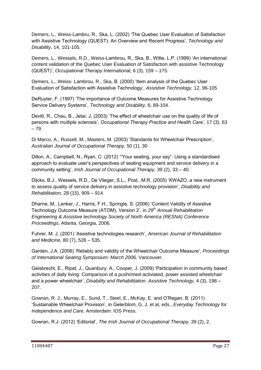Demers, L., Weiss-Lambru, R., Ska, L. (2002) "The Quebec User Evaluation of Satisfaction with Assistive Technology (QUEST): An Overview and Recent Progress", *Technology and Disability,* 14, 101-105.

Demers, L., Wessels, R.D., Weiss-Lambrou, R., Ska, B., Witte, L.P. (1999) "An international content validation of the Quebec User Evaluation of Satisfaction with assistive Technology (QUEST)", *Occupational Therapy International,* 6 (3), 159 – 175.

Demers, L., Weiss- Lambrou, R., Ska, B. (2000) "Item analysis of the Quebec User Evaluation of Satisfaction with Assistive Technology", *Assistive Technology,* 12, 96-105

DeRuyter, F. (1997) "The importance of Outcome Measures for Assistive Technology Service Delivery Systems", *Technology and Disability,* 6, 89-104.

Devitt, R., Chau, B., Jetai, J. (2003) "The effect of wheelchair use on the quality of life of persons with multiple sclerosis", *Occupational Therapy Practice and Health Care',* 17 (3), 63 – 79.

Di Marco, A., Russell, M., Masters, M. (2003) "Standards for Wheelchair Prescription", *Australian Journal of Occupational Therapy,* 50 (1), 30

Dillon, A., Campbell, N., Ryan, C. (2012) ""Your seating, your say": Using a standardised approach to evaluate user"s perspectives of seating equipment and service delivery in a community setting", *Irish Journal of Occupational Therapy,* 39 (2), 33 – 40.

Dijcks, B.J., Wessels, R.D., De Vlieger, S.L., Post, .M.R. (2005) "KWAZO, a new instrument to assess quality of service delivery in assistive technology provision", *Disability and Rehabilitation,* 28 (15), 909 – 914.

Dharne, M., Lenker, J., Harris, F.H., Springle, S. (2006) "Content Validity of Assistive Technology Outcome Measure (ATOM), Version 2", in *29th Annual Rehabilitation Engineering & Assistive technology Society of North America (RESNA) Conference Proceedings,* Atlanta, Georgia, 2006.

Fuhrer, M. J. (2001) "Assistive technologies research", *American Journal of Rehabilitation and Medicine,* 80 (7), 528 – 535.

Garden, J.A. (2006) "Reliably and validity of the Wheelchair Outcome Measure", *Proceedings of International Seating Symposium: March 2006,* Vancouver.

Geisbrecht, E., Ripat, J., Quanbury, A., Cooper, J. (2009) "Participation in community based activities of daily living: Comparison of a pushrimed-activiated, power assisted wheelchair and a power wheelchair", *Disability and Rehabilitation: Assistive Technology,* 4 (3), 198 – 207.

Gowran, R. J., Murray, E., Sund, T., Steel, E., McKay, E. and O"Regan, B. (2011) "Sustainable Wheelchair Provision", in Gelerblom, G, J. et al, eds., *Everyday Technology for Independence and Care,* Amsterdam: IOS Press.

Gowran, R.J. (2012) "Editorial", *The Irish Journal of Occupational Therapy,* 39 (2), 2.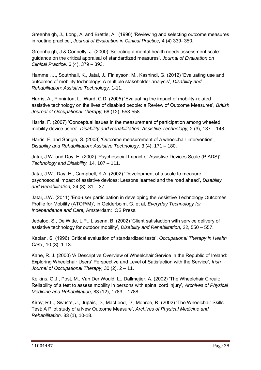Greenhalgh, J., Long, A. and Brettle, A. (1996) "Reviewing and selecting outcome measures in routine practice", *Journal of Evaluation in Clinical Practice,* 4 (4) 339- 350.

Greenhalgh, J & Connelly, J. (2000) "Selecting a mental health needs assessment scale: guidance on the critical appraisal of standardized measures", *Journal of Evaluation on Clinical Practice,* 6 (4), 379 – 393.

Hammel, J., Southhall, K., Jatai, J., Finlayson, M., Kashindi, G. (2012) "Evaluating use and outcomes of mobility technology: A multiple stakeholder analysis", *Disability and Rehabilitation: Assistive Technology,* 1-11.

Harris, A., Pinninton, L., Ward, C.D. (2005) "Evaluating the impact of mobility-related assistive technology on the lives of disabled people: a Review of Outcome Measures", *British Journal of Occupational Therapy,* 68 (12), 553-558

Harris, F. (2007) 'Conceptual issues in the measurement of participation among wheeled mobility device users", *Disability and Rehabilitation: Assistive Technology,* 2 (3), 137 – 148.

Harris, F. and Sprigle, S. (2008) "Outcome measurement of a wheelchair intervention", *Disability and Rehabilitation: Assistive Technology,* 3 (4), 171 – 180.

Jatai, J.W. and Day, H. (2002) "Psychosocial Impact of Assistive Devices Scale (PIADS)", *Technology and Disability,* 14, 107 – 111.

Jatai, J.W., Day, H., Campbell, K.A. (2002) "Development of a scale to measure psychosocial impact of assistive devices: Lessons learned and the road ahead", *Disability and Rehabilitation,* 24 (3), 31 – 37.

Jatai, J.W. (2011) "End-user participation in developing the Assistive Technology Outcomes Profile for Mobility (ATOP/M)", in Gelderbolm, G. et al, *Everyday Technology for Independence and Care,* Amsterdam: IOS Press.

Jedaloo, S., De Witte, L.P., Lissenn, B. (2002) "Client satisfaction with service delivery of assistive technology for outdoor mobility", *Disability and Rehabilitation,* 22, 550 – 557.

Kaplan, S. (1996) "Critical evaluation of standardized tests", *Occupational Therapy in Health Care',* 10 (3), 1-13.

Kane, R. J. (2000) "A Descriptive Overview of Wheelchair Service in the Republic of Ireland: Exploring Wheelchair Users" Perspective and Level of Satisfaction with the Service", *Irish Journal of Occupational Therapy,* 30 (2), 2 – 11.

Kelkins, O.J., Post, M., Van Der Would, L., Dallmejier, A. (2002) "The Wheelchair Circuit: Reliability of a test to assess mobility in persons with spinal cord injury", *Archives of Physical Medicine and Rehabilitation,* 83 (12), 1783 – 1788.

Kirby, R.L., Swuste, J., Jupais, D., MacLeod, D., Monroe, R. (2002) "The Wheelchair Skills Test: A Pilot study of a New Outcome Measure", *Archives of Physical Medicine and Rehabilitation,* 83 (1), 10-18.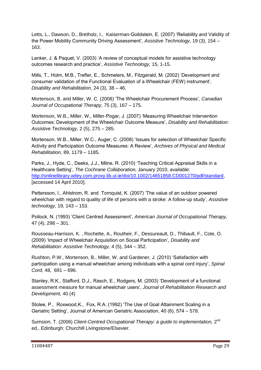Letts, L., Dawson, D., Bretholz, I., Kaiserman-Goildstein, E. (2007) "Reliability and Validity of the Power Mobility Community Driving Assessment", *Assistive Technology,* 19 (3), 154 – 163.

Lenker, J. & Paquet, V. (2003) "A review of conceptual models for assistive technology outcomes research and practice", *Assistive Technology,* 15, 1-15.

Mills, T., Holm, M.B., Trefler, E., Schmelers, M., Fitzgerald, M. (2002) "Development and consumer validation of the Functional Evaluation of a Wheelchair (FEW) instrument", *Disability and Rehabilitation,* 24 (3), 38 – 46.

Mortenson, B. and Miller, W. C. (2008) "The Wheelchair Procurement Process", *Canadian Journal of Occupational Therapy,* 75 (3), 167 – 175.

Mortenson, W.B., Miller, W., Miller-Pogar, J. (2007) "Measuring Wheelchair Intervention Outcomes: Development of the Wheelchair Outcome Measure", *Disability and Rehabilitation: Assistive Technology,* 2 (5), 275 – 285.

Mortenson, W.B., Miller, W.C., Auger, C. (2008) "Issues for selection of Wheelchair Specific Activity and Participation Outcome Measures: A Review", *Archives of Physical and Medical Rehabilitation,* 89, 1179 – 1185.

Parks, J., Hyde, C., Deeks, J.J., Milne, R. (2010) "Teaching Critical Appraisal Skills in a Healthcare Setting", *The Cochrane Collaboration,* January 2010, available: [http://onlinelibrary.wiley.com.proxy.lib.ul.ie/doi/10.1002/14651858.CD001270/pdf/standard,](http://onlinelibrary.wiley.com.proxy.lib.ul.ie/doi/10.1002/14651858.CD001270/pdf/standard) [accessed 14 April 2010].

Pettersson, I., Ahlstrom, R. and Tornquist, K. (2007) "The value of an outdoor powered wheelchair with regard to quality of life of persons with a stroke: A follow-up study", *Assistive technology,* 19, 143 – 153.

Pollock, N. (1993) "Client Centred Assessment", *American Journal of Occupational Therapy,*  47 (4), 298 – 301.

Rousseau-Harrison, K. , Rochette, A., Routheir, F., Dessureault, D., Thibault, F., Cote, O. (2009) "Impact of Wheelchair Acquisition on Social Participation", *Disability and Rehabilitation: Assistive Technology,* 4 (5), 344 – 352.

Rushton, P.W., Mortenson, B., Miller, W. and Gardener, J. (2010) "Satisfaction with participation using a manual wheelchair among individuals with a spinal cord injury", *Spinal Cord,* 48, 691 – 696.

Stanley, R.K., Stafford, D.J., Rasch, E., Rodgers, M. (2003) "Development of a functional assessment measure for manual wheelchair users", *Journal of Rehabilitation Research and Development,* 40 (4)

Stolee, P., Roxwood,K., Fox, R.A. (1992) "The Use of Goal Attainment Scaling in a Geriatric Setting", Journal of American Geriatric Association, 40 (6), 574 – 578.

Sumsion, T. (2006) Client-Centred Occupational Therapy: a guide to implementation, 2<sup>nd</sup> ed.*,* Edinburgh: Churchill Livingstone/Elsevier.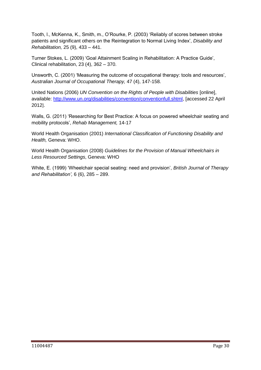Tooth, l., McKenna, K., Smith, m., O"Rourke, P. (2003) "Reliably of scores between stroke patients and significant others on the Reintegration to Normal Living Index", *Disability and Rehabilitation,* 25 (9), 433 – 441.

Turner Stokes, L. (2009) "Goal Attainment Scaling in Rehabilitation: A Practice Guide", Clinical rehabilitation, 23 (4), 362 – 370.

Unsworth, C. (2001) "Measuring the outcome of occupational therapy: tools and resources", *Australian Journal of Occupational Therapy,* 47 (4), 147-158.

United Nations (2006) *UN Convention on the Rights of People with Disabilities* [online], available: [http://www.un.org/disabilities/convention/conventionfull.shtml,](http://www.un.org/disabilities/convention/conventionfull.shtml) [accessed 22 April 2012].

Walls, G. (2011) "Researching for Best Practice: A focus on powered wheelchair seating and mobility protocols", *Rehab Management,* 14-17

World Health Organisation (2001) *International Classification of Functioning Disability and Health,* Geneva: WHO.

World Health Organisation (2008) *Guidelines for the Provision of Manual Wheelchairs in Less Resourced Settings*, Geneva: WHO

White, E. (1999) "Wheelchair special seating: need and provision", *British Journal of Therapy and Rehabilitation',* 6 (6), 285 – 289.